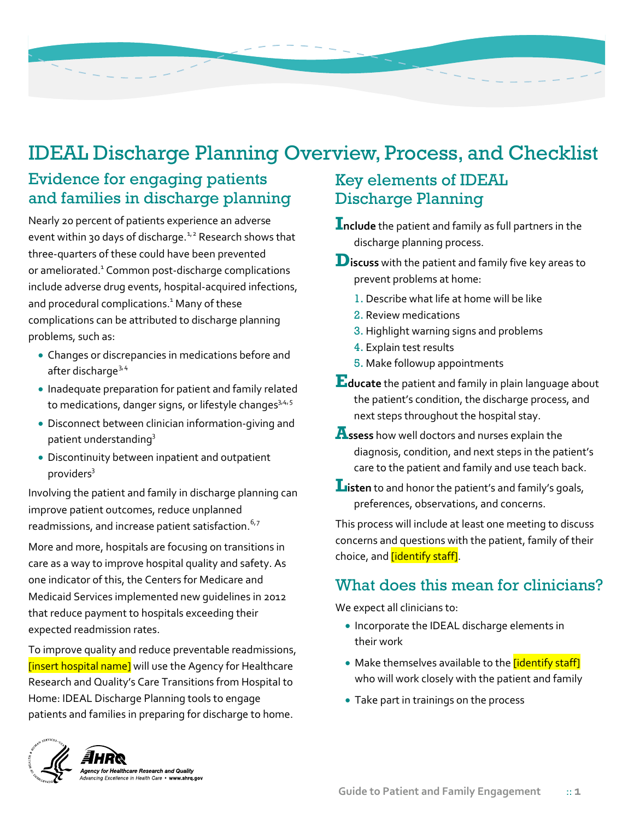

# IDEAL Discharge Planning Overview, Process, and Checklist

# Evidence for engaging patients and families in discharge planning

Nearly 20 percent of patients experience an adverse event within 30 days of discharge.<sup> $1,2$  $1,2$ </sup> Research shows that three-quarters of these could have been prevented or ameliorated.<sup>1</sup> Common post-discharge complications include adverse drug events, hospital-acquired infections, and procedural complications.<sup>1</sup> Many of these complications can be attributed to discharge planning problems, such as:

- Changes or discrepancies in medications before and after discharge<sup>[3,](#page-6-3)[4](#page-6-4)</sup>
- Inadequate preparation for patient and family related to medications, danger signs, or lifestyle changes<sup>3,4,[5](#page-6-5)</sup>
- Disconnect between clinician information-giving and patient understandin[g3](#page-6-0)
- Discontinuity between inpatient and outpatient providers<sup>3</sup>

Involving the patient and family in discharge planning can improve patient outcomes, reduce unplanned readmissions, and increase patient satisfaction.<sup>[6,](#page-6-6)[7](#page-6-7)</sup>

More and more, hospitals are focusing on transitions in care as a way to improve hospital quality and safety. As one indicator of this, the Centers for Medicare and Medicaid Services implemented new guidelines in 2012 that reduce payment to hospitals exceeding their expected readmission rates.

To improve quality and reduce preventable readmissions, [insert hospital name] will use the Agency for Healthcare Research and Quality's Care Transitions from Hospital to Home: IDEAL Discharge Planning tools to engage patients and families in preparing for discharge to home.

# Key elements of IDEAL Discharge Planning

**Include** the patient and family as full partners in the discharge planning process.

- **Discuss** with the patient and family five key areas to prevent problems at home:
	- 1. Describe what life at home will be like
	- 2. Review medications
	- 3. Highlight warning signs and problems
	- 4. Explain test results
	- 5. Make followup appointments
- **Educate** the patient and family in plain language about the patient's condition, the discharge process, and next steps throughout the hospital stay.
- **Assess** how well doctors and nurses explain the diagnosis, condition, and next steps in the patient's care to the patient and family and use teach back.
- **L**isten to and honor the patient's and family's goals, preferences, observations, and concerns.

This process will include at least one meeting to discuss concerns and questions with the patient, family of their choice, and *[identify staff]*.

# What does this mean for clinicians?

We expect all clinicians to:

- Incorporate the IDEAL discharge elements in their work
- Make themselves available to the *[identify staff]* who will work closely with the patient and family
- Take part in trainings on the process

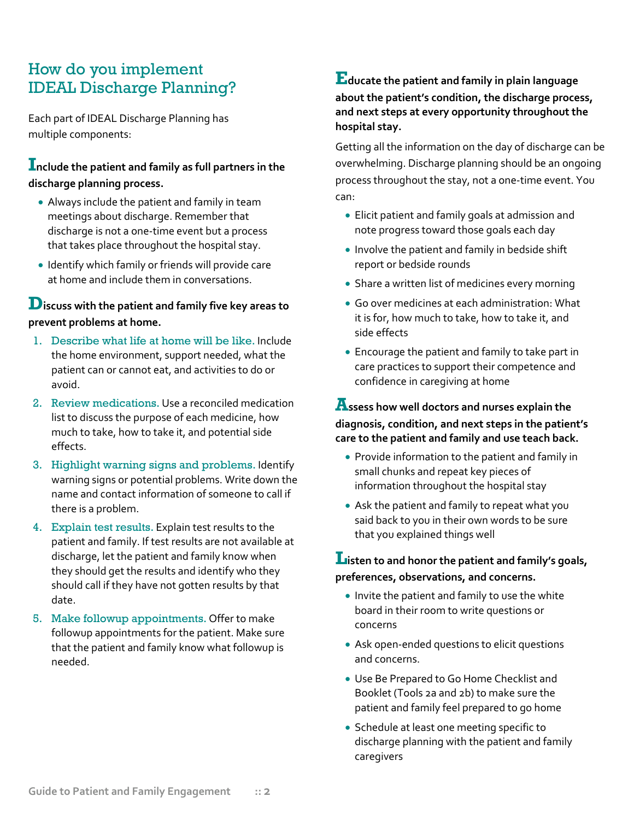# How do you implement IDEAL Discharge Planning?

Each part of IDEAL Discharge Planning has multiple components:

### **Include the patient and family as full partners in the discharge planning process.**

- Always include the patient and family in team meetings about discharge. Remember that discharge is not a one-time event but a process that takes place throughout the hospital stay.
- Identify which family or friends will provide care at home and include them in conversations.

#### **Discuss with the patient and family five key areas to prevent problems at home.**

- 1. Describe what life at home will be like. Include the home environment, support needed, what the patient can or cannot eat, and activities to do or avoid.
- 2. Review medications. Use a reconciled medication list to discuss the purpose of each medicine, how much to take, how to take it, and potential side effects.
- 3. Highlight warning signs and problems. Identify warning signs or potential problems. Write down the name and contact information of someone to call if there is a problem.
- 4. Explain test results. Explain test results to the patient and family. If test results are not available at discharge, let the patient and family know when they should get the results and identify who they should call if they have not gotten results by that date.
- 5. Make followup appointments. Offer to make followup appointments for the patient. Make sure that the patient and family know what followup is needed.

#### **Educate the patient and family in plain language about the patient's condition, the discharge process, and next steps at every opportunity throughout the hospital stay.**

Getting all the information on the day of discharge can be overwhelming. Discharge planning should be an ongoing process throughout the stay, not a one-time event. You can:

- Elicit patient and family goals at admission and note progress toward those goals each day
- Involve the patient and family in bedside shift report or bedside rounds
- Share a written list of medicines every morning
- Go over medicines at each administration: What it is for, how much to take, how to take it, and side effects
- Encourage the patient and family to take part in care practices to support their competence and confidence in caregiving at home

## **Assess how well doctors and nurses explain the diagnosis, condition, and next steps in the patient's care to the patient and family and use teach back.**

- Provide information to the patient and family in small chunks and repeat key pieces of information throughout the hospital stay
- Ask the patient and family to repeat what you said back to you in their own words to be sure that you explained things well

#### **Listen to and honor the patient and family's goals, preferences, observations, and concerns.**

- Invite the patient and family to use the white board in their room to write questions or concerns
- Ask open-ended questions to elicit questions and concerns.
- Use Be Prepared to Go Home Checklist and Booklet (Tools 2a and 2b) to make sure the patient and family feel prepared to go home
- Schedule at least one meeting specific to discharge planning with the patient and family caregivers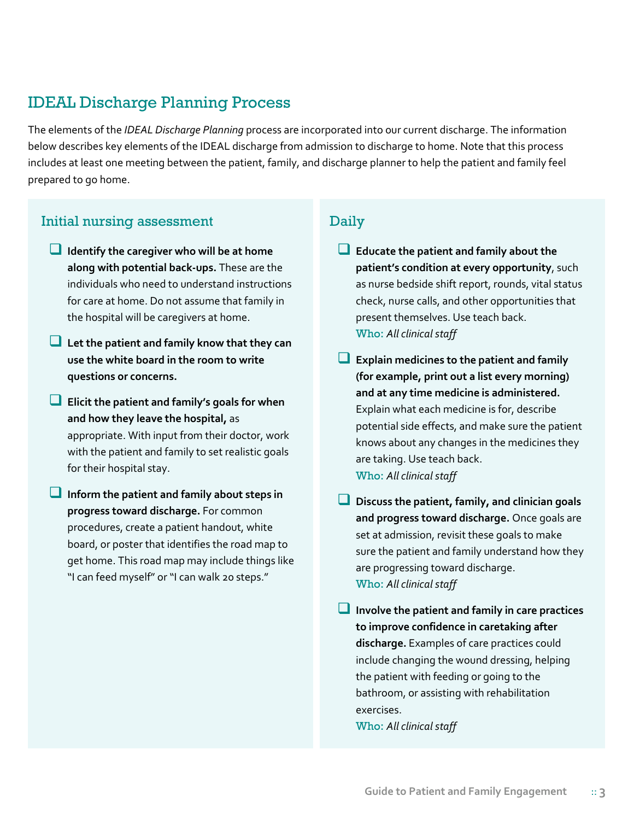# IDEAL Discharge Planning Process

The elements of the *IDEAL Discharge Planning* process are incorporated into our current discharge. The information below describes key elements of the IDEAL discharge from admission to discharge to home. Note that this process includes at least one meeting between the patient, family, and discharge planner to help the patient and family feel prepared to go home.

## Initial nursing assessment Daily

- **Identify the caregiver who will be at home along with potential back-ups.** These are the individuals who need to understand instructions for care at home. Do not assume that family in the hospital will be caregivers at home.
- **Let the patient and family know that they can use the white board in the room to write questions or concerns.**
- **Elicit the patient and family's goals for when and how they leave the hospital,** as appropriate. With input from their doctor, work with the patient and family to set realistic goals for their hospital stay.
- **Inform the patient and family about steps in progress toward discharge.** For common procedures, create a patient handout, white board, or poster that identifies the road map to get home. This road map may include things like "I can feed myself" or "I can walk 20 steps."

- **Educate the patient and family about the patient's condition at every opportunity**, such as nurse bedside shift report, rounds, vital status check, nurse calls, and other opportunities that present themselves. Use teach back. Who: *All clinical staff*
- **Explain medicines to the patient and family (for example, print out a list every morning) and at any time medicine is administered.** Explain what each medicine is for, describe potential side effects, and make sure the patient knows about any changes in the medicines they are taking. Use teach back. Who: *All clinical staff*
- **Discuss the patient, family, and clinician goals and progress toward discharge.** Once goals are set at admission, revisit these goals to make sure the patient and family understand how they are progressing toward discharge. Who: *All clinical staff*

 **Involve the patient and family in care practices to improve confidence in caretaking after discharge.** Examples of care practices could include changing the wound dressing, helping the patient with feeding or going to the bathroom, or assisting with rehabilitation exercises.

Who: *All clinical staff*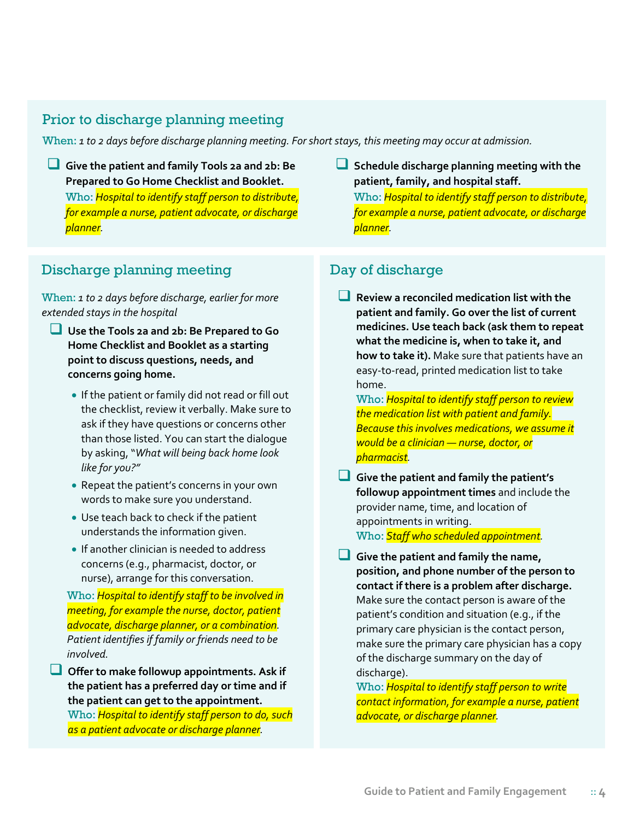### Prior to discharge planning meeting

When: *1 to 2 days before discharge planning meeting. For short stays, this meeting may occur at admission.* 

 **Give the patient and family Tools 2a and 2b: Be Prepared to Go Home Checklist and Booklet.**  Who: *Hospital to identify staff person to distribute, for example a nurse, patient advocate, or discharge planner.*

 **Schedule discharge planning meeting with the patient, family, and hospital staff.** Who: *Hospital to identify staff person to distribute, for example a nurse, patient advocate, or discharge planner.*

## Discharge planning meeting Day of discharge

When: *1 to 2 days before discharge, earlier for more extended stays in the hospital*

- **Use the Tools 2a and 2b: Be Prepared to Go Home Checklist and Booklet as a starting point to discuss questions, needs, and concerns going home.**
	- If the patient or family did not read or fill out the checklist, review it verbally. Make sure to ask if they have questions or concerns other than those listed. You can start the dialogue by asking, "*What will being back home look like for you?"*
	- Repeat the patient's concerns in your own words to make sure you understand.
	- Use teach back to check if the patient understands the information given.
	- If another clinician is needed to address concerns (e.g., pharmacist, doctor, or nurse), arrange for this conversation.

Who: *Hospital to identify staff to be involved in meeting, for example the nurse, doctor, patient advocate, discharge planner, or a combination. Patient identifies if family or friends need to be involved.*

 **Offer to make followup appointments. Ask if the patient has a preferred day or time and if the patient can get to the appointment.** Who: *Hospital to identify staff person to do, such as a patient advocate or discharge planner.* 

 **Review a reconciled medication list with the patient and family. Go over the list of current medicines. Use teach back (ask them to repeat what the medicine is, when to take it, and how to take it).** Make sure that patients have an easy-to-read, printed medication list to take home.

Who: *Hospital to identify staff person to review the medication list with patient and family. Because this involves medications, we assume it would be a clinician — nurse, doctor, or pharmacist.* 

 **Give the patient and family the patient's followup appointment times** and include the provider name, time, and location of appointments in writing. Who: *Staff who scheduled appointment.*

 **Give the patient and family the name, position, and phone number of the person to contact if there is a problem after discharge.** Make sure the contact person is aware of the patient's condition and situation (e.g., if the primary care physician is the contact person, make sure the primary care physician has a copy of the discharge summary on the day of discharge).

Who: *Hospital to identify staff person to write contact information, for example a nurse, patient advocate, or discharge planner.*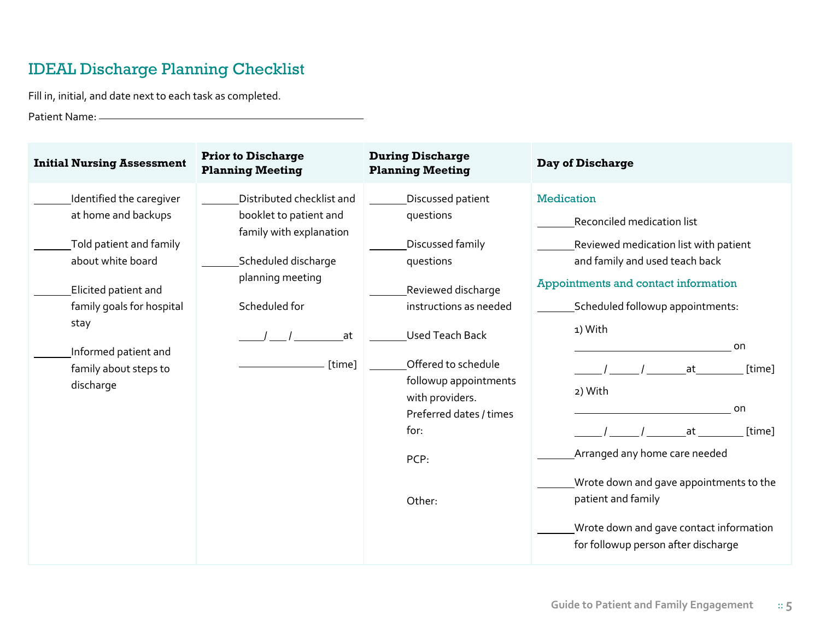# IDEAL Discharge Planning Checklist

Fill in, initial, and date next to each task as completed.

Patient Name:

| <b>Initial Nursing Assessment</b>                                                                                                                                                                                          | <b>Prior to Discharge</b><br><b>Planning Meeting</b>                                                                                                       | <b>During Discharge</b><br><b>Planning Meeting</b>                                                                                                                                                                                                                | Day of Discharge                                                                                                                                                                                                                                                                                                                                                                                                                                             |
|----------------------------------------------------------------------------------------------------------------------------------------------------------------------------------------------------------------------------|------------------------------------------------------------------------------------------------------------------------------------------------------------|-------------------------------------------------------------------------------------------------------------------------------------------------------------------------------------------------------------------------------------------------------------------|--------------------------------------------------------------------------------------------------------------------------------------------------------------------------------------------------------------------------------------------------------------------------------------------------------------------------------------------------------------------------------------------------------------------------------------------------------------|
| Identified the caregiver<br>at home and backups<br>Told patient and family<br>about white board<br>Elicited patient and<br>family goals for hospital<br>stay<br>Informed patient and<br>family about steps to<br>discharge | Distributed checklist and<br>booklet to patient and<br>family with explanation<br>Scheduled discharge<br>planning meeting<br>Scheduled for<br>at<br>[time] | Discussed patient<br>questions<br>Discussed family<br>questions<br>Reviewed discharge<br>instructions as needed<br><b>Used Teach Back</b><br>Offered to schedule<br>followup appointments<br>with providers.<br>Preferred dates / times<br>for:<br>PCP:<br>Other: | <b>Medication</b><br>Reconciled medication list<br>Reviewed medication list with patient<br>and family and used teach back<br>Appointments and contact information<br>Scheduled followup appointments:<br>1) With<br>on<br>[time]<br>at<br>2) With<br>on<br>[time]<br>at<br>Arranged any home care needed<br>Wrote down and gave appointments to the<br>patient and family<br>Wrote down and gave contact information<br>for followup person after discharge |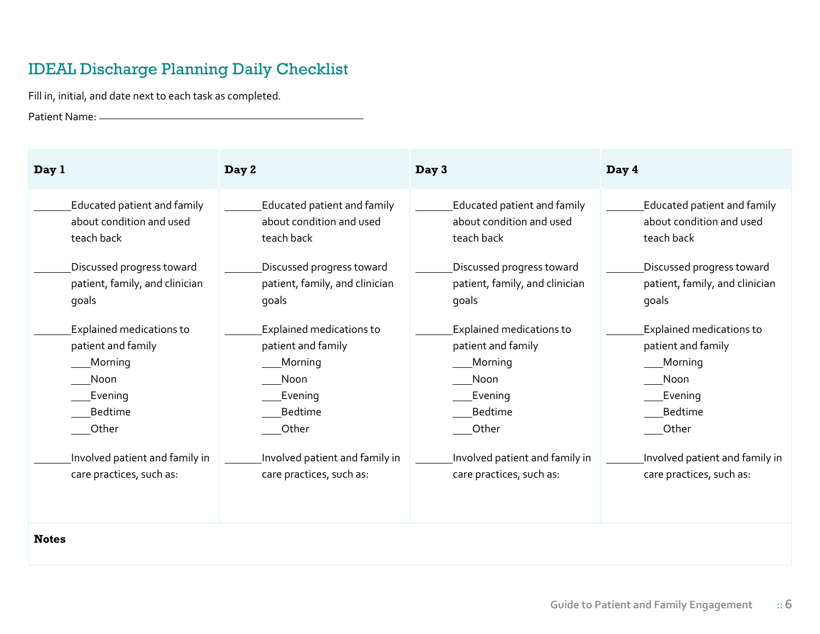# IDEAL Discharge Planning Daily Checklist

Fill in, initial, and date next to each task as completed.

Patient Name:

| Day 1                              | Day 2                           | Day 3                              | Day 4                           |
|------------------------------------|---------------------------------|------------------------------------|---------------------------------|
| <b>Educated patient and family</b> | Educated patient and family     | <b>Educated patient and family</b> | Educated patient and family     |
| about condition and used           | about condition and used        | about condition and used           | about condition and used        |
| teach back                         | teach back                      | teach back                         | teach back                      |
| Discussed progress toward          | Discussed progress toward       | Discussed progress toward          | Discussed progress toward       |
| patient, family, and clinician     | patient, family, and clinician  | patient, family, and clinician     | patient, family, and clinician  |
| qoals                              | goals                           | goals                              | goals                           |
| <b>Explained medications to</b>    | <b>Explained medications to</b> | <b>Explained medications to</b>    | <b>Explained medications to</b> |
| patient and family                 | patient and family              | patient and family                 | patient and family              |
| <b>Morning</b>                     | Morning                         | Morning                            | Morning                         |
| Noon                               | Noon                            | Noon                               | Noon                            |
| Evening                            | Evening                         | Evening                            | Evening                         |
| <b>Bedtime</b>                     | <b>Bedtime</b>                  | <b>Bedtime</b>                     | <b>Bedtime</b>                  |
| Other                              | Other                           | Other                              | Other                           |
| Involved patient and family in     | Involved patient and family in  | Involved patient and family in     | Involved patient and family in  |
| care practices, such as:           | care practices, such as:        | care practices, such as:           | care practices, such as:        |
|                                    |                                 |                                    |                                 |

**Notes**